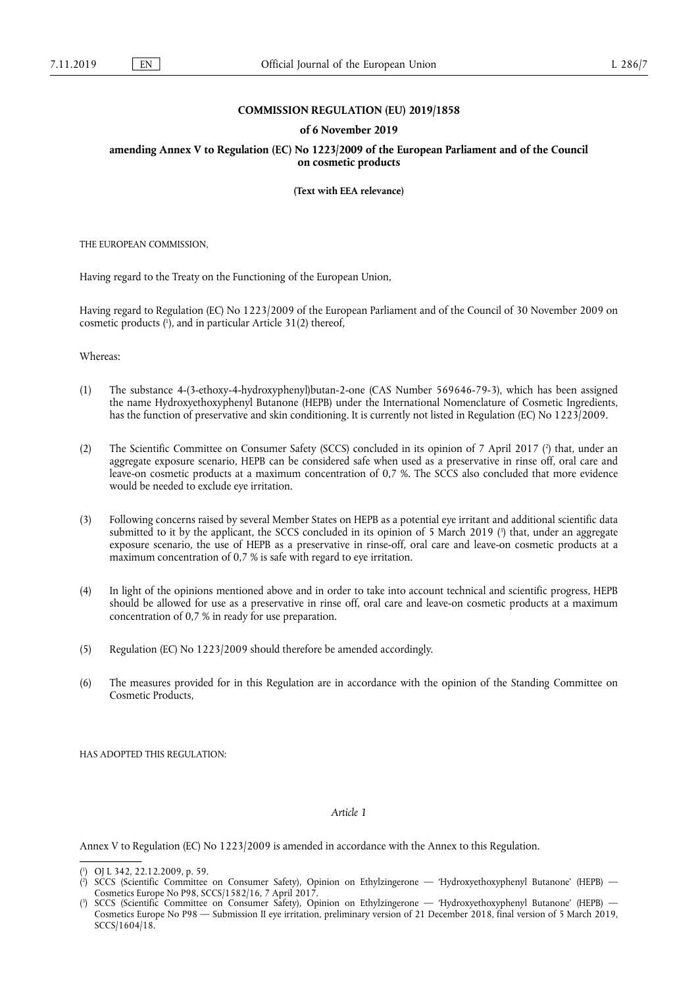## **COMMISSION REGULATION (EU) 2019/1858**

## **of 6 November 2019**

**amending Annex V to Regulation (EC) No 1223/2009 of the European Parliament and of the Council on cosmetic products** 

**(Text with EEA relevance)** 

THE EUROPEAN COMMISSION,

Having regard to the Treaty on the Functioning of the European Union,

Having regard to Regulation (EC) No 1223/2009 of the European Parliament and of the Council of 30 November 2009 on cosmetic products ( 1 ), and in particular Article 31(2) thereof,

Whereas:

- (1) The substance 4-(3-ethoxy-4-hydroxyphenyl)butan-2-one (CAS Number 569646-79-3), which has been assigned the name Hydroxyethoxyphenyl Butanone (HEPB) under the International Nomenclature of Cosmetic Ingredients, has the function of preservative and skin conditioning. It is currently not listed in Regulation (EC) No 1223/2009.
- (2) The Scientific Committee on Consumer Safety (SCCS) concluded in its opinion of 7 April 2017 ( $\degree$ ) that, under an aggregate exposure scenario, HEPB can be considered safe when used as a preservative in rinse off, oral care and leave-on cosmetic products at a maximum concentration of 0,7 %. The SCCS also concluded that more evidence would be needed to exclude eye irritation.
- (3) Following concerns raised by several Member States on HEPB as a potential eye irritant and additional scientific data submitted to it by the applicant, the SCCS concluded in its opinion of 5 March 2019 ( 3 ) that, under an aggregate exposure scenario, the use of HEPB as a preservative in rinse-off, oral care and leave-on cosmetic products at a maximum concentration of 0,7 % is safe with regard to eye irritation.
- (4) In light of the opinions mentioned above and in order to take into account technical and scientific progress, HEPB should be allowed for use as a preservative in rinse off, oral care and leave-on cosmetic products at a maximum concentration of 0,7 % in ready for use preparation.
- (5) Regulation (EC) No 1223/2009 should therefore be amended accordingly.
- (6) The measures provided for in this Regulation are in accordance with the opinion of the Standing Committee on Cosmetic Products,

HAS ADOPTED THIS REGULATION:

## *Article 1*

Annex V to Regulation (EC) No 1223/2009 is amended in accordance with the Annex to this Regulation.

<sup>(</sup> 1 ) OJ L 342, 22.12.2009, p. 59.

 $(2)$ ) SCCS (Scientific Committee on Consumer Safety), Opinion on Ethylzingerone — 'Hydroxyethoxyphenyl Butanone' (HEPB) — Cosmetics Europe No P98, SCCS/1582/16, 7 April 2017.

<sup>(</sup> 3 ) SCCS (Scientific Committee on Consumer Safety), Opinion on Ethylzingerone — 'Hydroxyethoxyphenyl Butanone' (HEPB) — Cosmetics Europe No P98 — Submission II eye irritation, preliminary version of 21 December 2018, final version of 5 March 2019, SCCS/1604/18.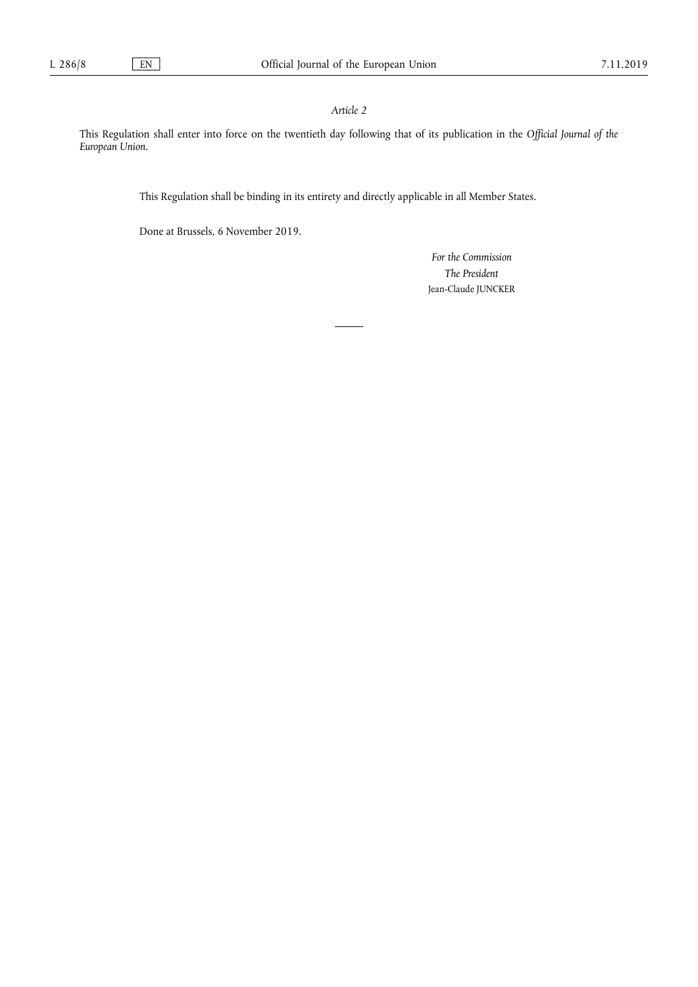## *Article 2*

This Regulation shall enter into force on the twentieth day following that of its publication in the *Official Journal of the European Union*.

This Regulation shall be binding in its entirety and directly applicable in all Member States.

Done at Brussels, 6 November 2019.

*For the Commission The President*  Jean-Claude JUNCKER